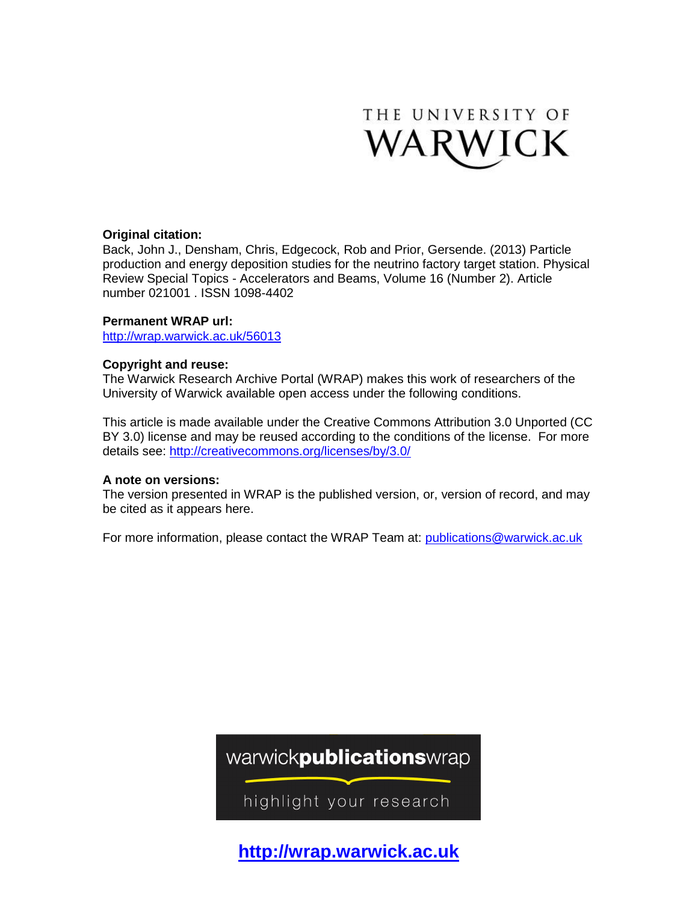

# **Original citation:**

Back, John J., Densham, Chris, Edgecock, Rob and Prior, Gersende. (2013) Particle production and energy deposition studies for the neutrino factory target station. Physical Review Special Topics - Accelerators and Beams, Volume 16 (Number 2). Article number 021001 . ISSN 1098-4402

# **Permanent WRAP url:**

<http://wrap.warwick.ac.uk/56013>

# **Copyright and reuse:**

The Warwick Research Archive Portal (WRAP) makes this work of researchers of the University of Warwick available open access under the following conditions.

This article is made available under the Creative Commons Attribution 3.0 Unported (CC BY 3.0) license and may be reused according to the conditions of the license. For more details see:<http://creativecommons.org/licenses/by/3.0/>

# **A note on versions:**

The version presented in WRAP is the published version, or, version of record, and may be cited as it appears here.

For more information, please contact the WRAP Team at: [publications@warwick.ac.uk](mailto:publications@warwick.ac.uk)

warwickpublicationswrap

highlight your research

**http://wrap.warwick.ac.uk**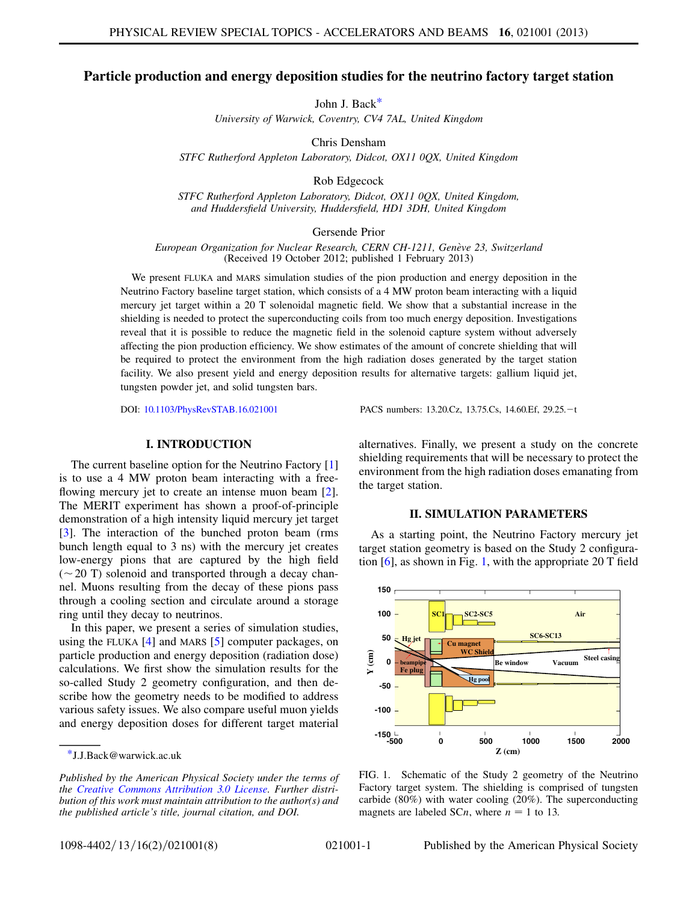## <span id="page-1-2"></span>Particle production and energy deposition studies for the neutrino factory target station

John J. Bac[k\\*](#page-1-0)

University of Warwick, Coventry, CV4 7AL, United Kingdom

Chris Densham

STFC Rutherford Appleton Laboratory, Didcot, OX11 0QX, United Kingdom

Rob Edgecock

STFC Rutherford Appleton Laboratory, Didcot, OX11 0QX, United Kingdom, and Huddersfield University, Huddersfield, HD1 3DH, United Kingdom

Gersende Prior

European Organization for Nuclear Research, CERN CH-1211, Genève 23, Switzerland (Received 19 October 2012; published 1 February 2013)

We present FLUKA and MARS simulation studies of the pion production and energy deposition in the Neutrino Factory baseline target station, which consists of a 4 MW proton beam interacting with a liquid mercury jet target within a 20 T solenoidal magnetic field. We show that a substantial increase in the shielding is needed to protect the superconducting coils from too much energy deposition. Investigations reveal that it is possible to reduce the magnetic field in the solenoid capture system without adversely affecting the pion production efficiency. We show estimates of the amount of concrete shielding that will be required to protect the environment from the high radiation doses generated by the target station facility. We also present yield and energy deposition results for alternative targets: gallium liquid jet, tungsten powder jet, and solid tungsten bars.

DOI: [10.1103/PhysRevSTAB.16.021001](http://dx.doi.org/10.1103/PhysRevSTAB.16.021001) PACS numbers: 13.20.Cz, 13.75.Cs, 14.60.Ef, 29.25.-t

## I. INTRODUCTION

The current baseline option for the Neutrino Factory [\[1\]](#page-7-0) is to use a 4 MW proton beam interacting with a free-flowing mercury jet to create an intense muon beam [[2\]](#page-7-1). The MERIT experiment has shown a proof-of-principle demonstration of a high intensity liquid mercury jet target [\[3\]](#page-7-2). The interaction of the bunched proton beam (rms bunch length equal to 3 ns) with the mercury jet creates low-energy pions that are captured by the high field  $(\sim 20 \text{ T})$  solenoid and transported through a decay chan-<br>nel Muons resulting from the decay of these pions pass nel. Muons resulting from the decay of these pions pass through a cooling section and circulate around a storage ring until they decay to neutrinos.

In this paper, we present a series of simulation studies, using the FLUKA [[4](#page-7-3)] and MARS [\[5](#page-7-4)] computer packages, on particle production and energy deposition (radiation dose) calculations. We first show the simulation results for the so-called Study 2 geometry configuration, and then describe how the geometry needs to be modified to address various safety issues. We also compare useful muon yields and energy deposition doses for different target material alternatives. Finally, we present a study on the concrete shielding requirements that will be necessary to protect the environment from the high radiation doses emanating from the target station.

### II. SIMULATION PARAMETERS

<span id="page-1-3"></span>As a starting point, the Neutrino Factory mercury jet target station geometry is based on the Study 2 configuration  $[6]$ , as shown in Fig. [1](#page-1-1), with the appropriate 20 T field

<span id="page-1-1"></span>

FIG. 1. Schematic of the Study 2 geometry of the Neutrino Factory target system. The shielding is comprised of tungsten carbide (80%) with water cooling (20%). The superconducting magnets are labeled SCn, where  $n = 1$  to 13.

<span id="page-1-0"></span>[<sup>\\*</sup>J](#page-1-2).J.Back@warwick.ac.uk

Published by the American Physical Society under the terms of the [Creative Commons Attribution 3.0 License.](http://creativecommons.org/licenses/by/3.0/) Further distribution of this work must maintain attribution to the author(s) and the published article's title, journal citation, and DOI.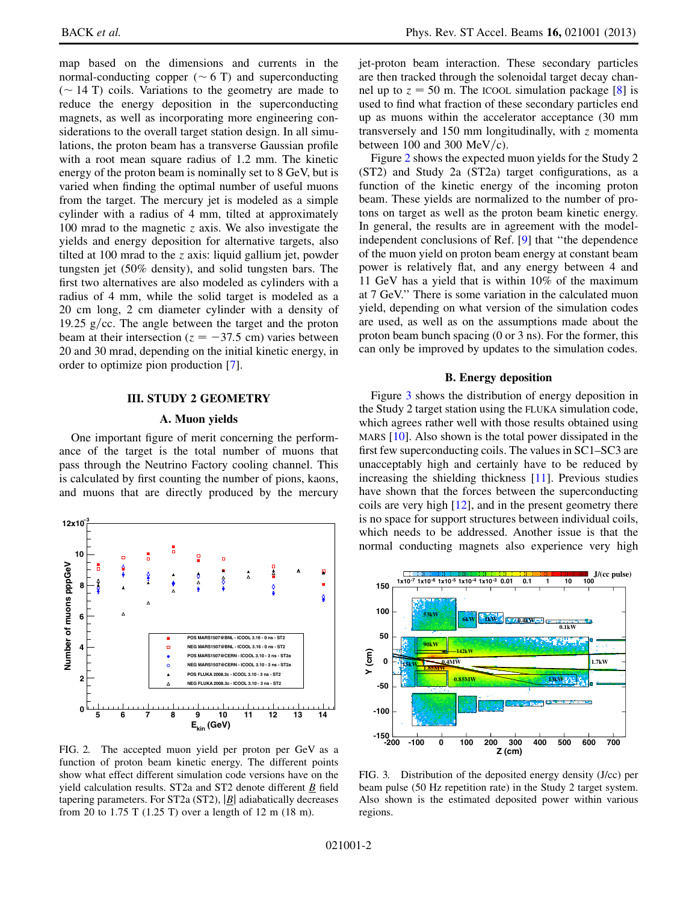map based on the dimensions and currents in the normal-conducting copper ( $\sim$  6 T) and superconducting<br>( $\sim$  14 T) coils. Variations to the geometry are made to  $(\sim 14 \text{ T})$  coils. Variations to the geometry are made to reduce the energy denosition in the superconducting reduce the energy deposition in the superconducting magnets, as well as incorporating more engineering considerations to the overall target station design. In all simulations, the proton beam has a transverse Gaussian profile with a root mean square radius of 1.2 mm. The kinetic energy of the proton beam is nominally set to 8 GeV, but is varied when finding the optimal number of useful muons from the target. The mercury jet is modeled as a simple cylinder with a radius of 4 mm, tilted at approximately 100 mrad to the magnetic  $\zeta$  axis. We also investigate the yields and energy deposition for alternative targets, also tilted at 100 mrad to the z axis: liquid gallium jet, powder tungsten jet (50% density), and solid tungsten bars. The first two alternatives are also modeled as cylinders with a radius of 4 mm, while the solid target is modeled as a 20 cm long, 2 cm diameter cylinder with a density of 19.25 g/cc. The angle between the target and the proton beam at their intersection ( $z = -37.5$  cm) varies between 20 and 30 mrad, depending on the initial kinetic energy, in order to optimize pion production [[7\]](#page-7-6).

#### III. STUDY 2 GEOMETRY

### A. Muon yields

One important figure of merit concerning the performance of the target is the total number of muons that pass through the Neutrino Factory cooling channel. This is calculated by first counting the number of pions, kaons, and muons that are directly produced by the mercury

<span id="page-2-0"></span>

FIG. 2. The accepted muon yield per proton per GeV as a function of proton beam kinetic energy. The different points show what effect different simulation code versions have on the yield calculation results. ST2a and ST2 denote different B field tapering parameters. For ST2a (ST2),  $|\underline{B}|$  adiabatically decreases from 20 to 1.75 T (1.25 T) over a length of 12 m (18 m).

jet-proton beam interaction. These secondary particles are then tracked through the solenoidal target decay channel up to  $z = 50$  m. The ICOOL simulation package [\[8](#page-7-7)] is used to find what fraction of these secondary particles end up as muons within the accelerator acceptance (30 mm transversely and 150 mm longitudinally, with  $z$  momenta between 100 and 300 MeV/c).

Figure [2](#page-2-0) shows the expected muon yields for the Study 2 (ST2) and Study 2a (ST2a) target configurations, as a function of the kinetic energy of the incoming proton beam. These yields are normalized to the number of protons on target as well as the proton beam kinetic energy. In general, the results are in agreement with the modelindependent conclusions of Ref. [[9](#page-7-8)] that ''the dependence of the muon yield on proton beam energy at constant beam power is relatively flat, and any energy between 4 and 11 GeV has a yield that is within 10% of the maximum at 7 GeV.'' There is some variation in the calculated muon yield, depending on what version of the simulation codes are used, as well as on the assumptions made about the proton beam bunch spacing (0 or 3 ns). For the former, this can only be improved by updates to the simulation codes.

### B. Energy deposition

Figure [3](#page-2-1) shows the distribution of energy deposition in the Study 2 target station using the FLUKA simulation code, which agrees rather well with those results obtained using MARS [[10](#page-7-9)]. Also shown is the total power dissipated in the first few superconducting coils. The values in SC1–SC3 are unacceptably high and certainly have to be reduced by increasing the shielding thickness [\[11\]](#page-7-10). Previous studies have shown that the forces between the superconducting coils are very high [\[12\]](#page-8-0), and in the present geometry there is no space for support structures between individual coils, which needs to be addressed. Another issue is that the normal conducting magnets also experience very high

<span id="page-2-1"></span>

FIG. 3. Distribution of the deposited energy density (J/cc) per beam pulse (50 Hz repetition rate) in the Study 2 target system. Also shown is the estimated deposited power within various regions.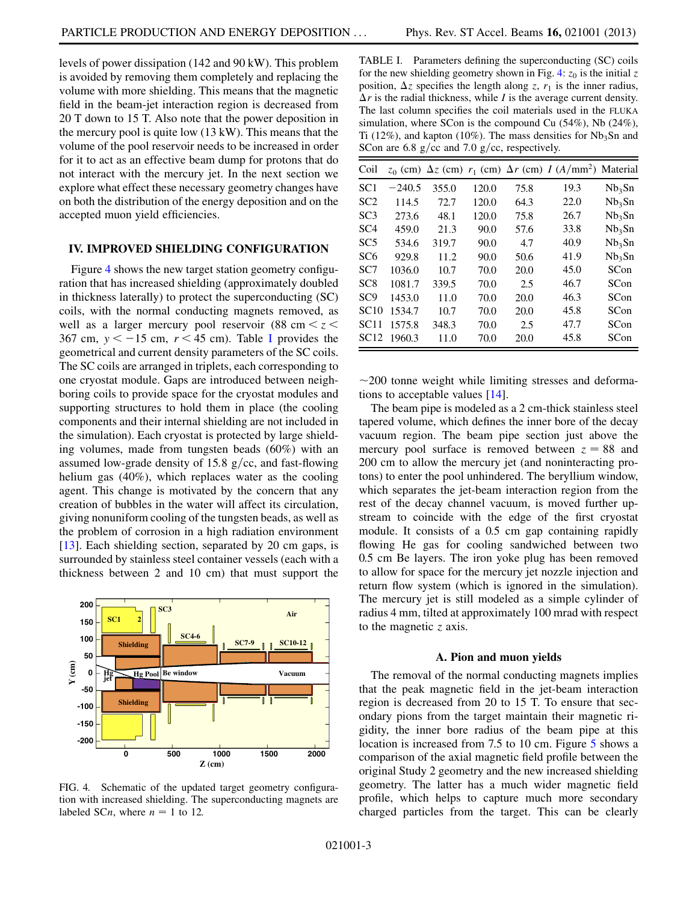levels of power dissipation (142 and 90 kW). This problem is avoided by removing them completely and replacing the volume with more shielding. This means that the magnetic field in the beam-jet interaction region is decreased from 20 T down to 15 T. Also note that the power deposition in the mercury pool is quite low (13 kW). This means that the volume of the pool reservoir needs to be increased in order for it to act as an effective beam dump for protons that do not interact with the mercury jet. In the next section we explore what effect these necessary geometry changes have on both the distribution of the energy deposition and on the accepted muon yield efficiencies.

#### IV. IMPROVED SHIELDING CONFIGURATION

Figure [4](#page-3-0) shows the new target station geometry configuration that has increased shielding (approximately doubled in thickness laterally) to protect the superconducting (SC) coils, with the normal conducting magnets removed, as well as a larger mercury pool reservoir (88 cm  $\lt z \lt$ 367 cm,  $y < -15$  cm,  $r < 45$  cm). Table [I](#page-3-1) provides the geometrical and current density parameters of the SC coils. The SC coils are arranged in triplets, each corresponding to one cryostat module. Gaps are introduced between neighboring coils to provide space for the cryostat modules and supporting structures to hold them in place (the cooling components and their internal shielding are not included in the simulation). Each cryostat is protected by large shielding volumes, made from tungsten beads (60%) with an assumed low-grade density of 15.8  $g/cc$ , and fast-flowing helium gas (40%), which replaces water as the cooling agent. This change is motivated by the concern that any creation of bubbles in the water will affect its circulation, giving nonuniform cooling of the tungsten beads, as well as the problem of corrosion in a high radiation environment [\[13\]](#page-8-1). Each shielding section, separated by 20 cm gaps, is surrounded by stainless steel container vessels (each with a thickness between 2 and 10 cm) that must support the

<span id="page-3-0"></span>

FIG. 4. Schematic of the updated target geometry configuration with increased shielding. The superconducting magnets are labeled SCn, where  $n = 1$  to 12.

<span id="page-3-1"></span>TABLE I. Parameters defining the superconducting (SC) coils for the new shielding geometry shown in Fig. [4:](#page-3-0)  $z_0$  is the initial z position,  $\Delta z$  specifies the length along z,  $r_1$  is the inner radius,  $\Delta r$  is the radial thickness, while *I* is the average current density. The last column specifies the coil materials used in the FLUKA simulation, where SCon is the compound Cu (54%), Nb (24%), Ti (12%), and kapton (10%). The mass densities for  $Nb<sub>3</sub>Sn$  and SCon are 6.8 g/cc and 7.0 g/cc, respectively.

| Coil             |          |       |       |      | $z_0$ (cm) $\Delta z$ (cm) $r_1$ (cm) $\Delta r$ (cm) I (A/mm <sup>2</sup> ) Material |                    |
|------------------|----------|-------|-------|------|---------------------------------------------------------------------------------------|--------------------|
| SC1              | $-240.5$ | 355.0 | 120.0 | 75.8 | 19.3                                                                                  | Nb <sub>3</sub> Sn |
| SC <sub>2</sub>  | 114.5    | 72.7  | 120.0 | 64.3 | 22.0                                                                                  | Nb <sub>3</sub> Sn |
| SC <sub>3</sub>  | 273.6    | 48.1  | 120.0 | 75.8 | 26.7                                                                                  | Nb <sub>3</sub> Sn |
| SC <sub>4</sub>  | 459.0    | 21.3  | 90.0  | 57.6 | 33.8                                                                                  | Nb <sub>3</sub> Sn |
| SC <sub>5</sub>  | 534.6    | 319.7 | 90.0  | 4.7  | 40.9                                                                                  | Nb <sub>3</sub> Sn |
| SC6              | 929.8    | 11.2  | 90.0  | 50.6 | 41.9                                                                                  | Nb <sub>3</sub> Sn |
| SC7              | 1036.0   | 10.7  | 70.0  | 20.0 | 45.0                                                                                  | SCon               |
| SC8              | 1081.7   | 339.5 | 70.0  | 2.5  | 46.7                                                                                  | SCon               |
| SC <sub>9</sub>  | 1453.0   | 11.0  | 70.0  | 20.0 | 46.3                                                                                  | SCon               |
| SC10             | 1534.7   | 10.7  | 70.0  | 20.0 | 45.8                                                                                  | SCon               |
| <b>SC11</b>      | 1575.8   | 348.3 | 70.0  | 2.5  | 47.7                                                                                  | SCon               |
| SC <sub>12</sub> | 1960.3   | 11.0  | 70.0  | 20.0 | 45.8                                                                                  | SCon               |

 $\sim$  200 tonne weight while limiting stresses and deformations to acceptable values  $[14]$ tions to acceptable values [[14](#page-8-2)].

The beam pipe is modeled as a 2 cm-thick stainless steel tapered volume, which defines the inner bore of the decay vacuum region. The beam pipe section just above the mercury pool surface is removed between  $z = 88$  and 200 cm to allow the mercury jet (and noninteracting protons) to enter the pool unhindered. The beryllium window, which separates the jet-beam interaction region from the rest of the decay channel vacuum, is moved further upstream to coincide with the edge of the first cryostat module. It consists of a 0.5 cm gap containing rapidly flowing He gas for cooling sandwiched between two 0.5 cm Be layers. The iron yoke plug has been removed to allow for space for the mercury jet nozzle injection and return flow system (which is ignored in the simulation). The mercury jet is still modeled as a simple cylinder of radius 4 mm, tilted at approximately 100 mrad with respect to the magnetic  $z$  axis.

#### A. Pion and muon yields

The removal of the normal conducting magnets implies that the peak magnetic field in the jet-beam interaction region is decreased from 20 to 15 T. To ensure that secondary pions from the target maintain their magnetic rigidity, the inner bore radius of the beam pipe at this location is increased from 7.[5](#page-4-0) to 10 cm. Figure 5 shows a comparison of the axial magnetic field profile between the original Study 2 geometry and the new increased shielding geometry. The latter has a much wider magnetic field profile, which helps to capture much more secondary charged particles from the target. This can be clearly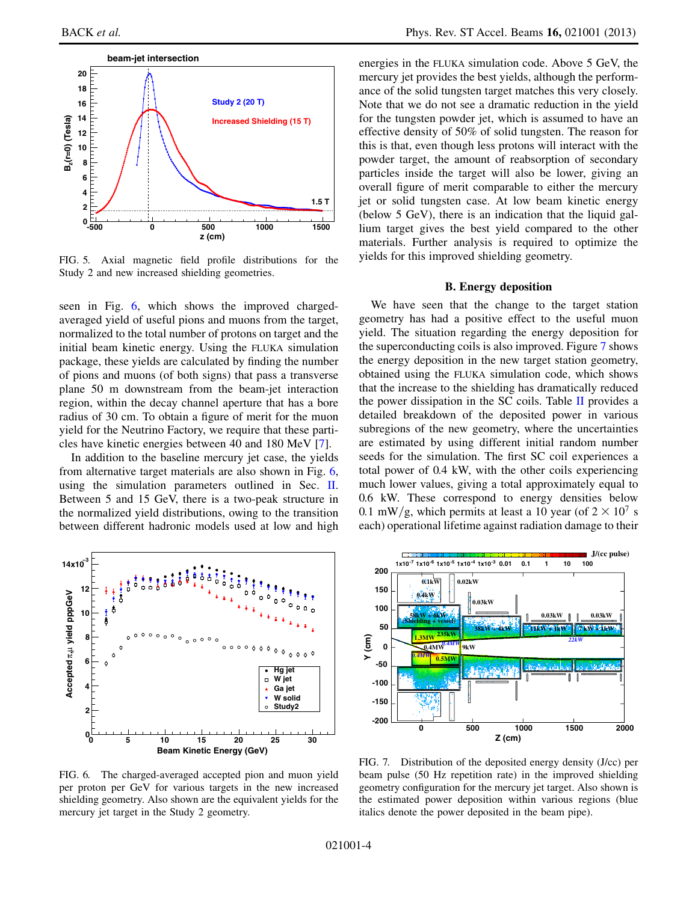<span id="page-4-0"></span>

FIG. 5. Axial magnetic field profile distributions for the Study 2 and new increased shielding geometries.

seen in Fig. [6](#page-4-1), which shows the improved chargedaveraged yield of useful pions and muons from the target, normalized to the total number of protons on target and the initial beam kinetic energy. Using the FLUKA simulation package, these yields are calculated by finding the number of pions and muons (of both signs) that pass a transverse plane 50 m downstream from the beam-jet interaction region, within the decay channel aperture that has a bore radius of 30 cm. To obtain a figure of merit for the muon yield for the Neutrino Factory, we require that these particles have kinetic energies between 40 and 180 MeV [[7](#page-7-6)].

In addition to the baseline mercury jet case, the yields from alternative target materials are also shown in Fig. [6](#page-4-1), using the simulation parameters outlined in Sec. [II](#page-1-3). Between 5 and 15 GeV, there is a two-peak structure in the normalized yield distributions, owing to the transition between different hadronic models used at low and high

<span id="page-4-1"></span>

FIG. 6. The charged-averaged accepted pion and muon yield per proton per GeV for various targets in the new increased shielding geometry. Also shown are the equivalent yields for the mercury jet target in the Study 2 geometry.

energies in the FLUKA simulation code. Above 5 GeV, the mercury jet provides the best yields, although the performance of the solid tungsten target matches this very closely. Note that we do not see a dramatic reduction in the yield for the tungsten powder jet, which is assumed to have an effective density of 50% of solid tungsten. The reason for this is that, even though less protons will interact with the powder target, the amount of reabsorption of secondary particles inside the target will also be lower, giving an overall figure of merit comparable to either the mercury jet or solid tungsten case. At low beam kinetic energy (below 5 GeV), there is an indication that the liquid gallium target gives the best yield compared to the other materials. Further analysis is required to optimize the yields for this improved shielding geometry.

#### B. Energy deposition

We have seen that the change to the target station geometry has had a positive effect to the useful muon yield. The situation regarding the energy deposition for the superconducting coils is also improved. Figure [7](#page-4-2) shows the energy deposition in the new target station geometry, obtained using the FLUKA simulation code, which shows that the increase to the shielding has dramatically reduced the power dissipation in the SC coils. Table [II](#page-5-0) provides a detailed breakdown of the deposited power in various subregions of the new geometry, where the uncertainties are estimated by using different initial random number seeds for the simulation. The first SC coil experiences a total power of 0.4 kW, with the other coils experiencing much lower values, giving a total approximately equal to 0.6 kW. These correspond to energy densities below 0.1 mW/g, which permits at least a 10 year (of  $2 \times 10^7$  s each) operational lifetime against radiation damage to their

<span id="page-4-2"></span>

FIG. 7. Distribution of the deposited energy density (J/cc) per beam pulse (50 Hz repetition rate) in the improved shielding geometry configuration for the mercury jet target. Also shown is the estimated power deposition within various regions (blue italics denote the power deposited in the beam pipe).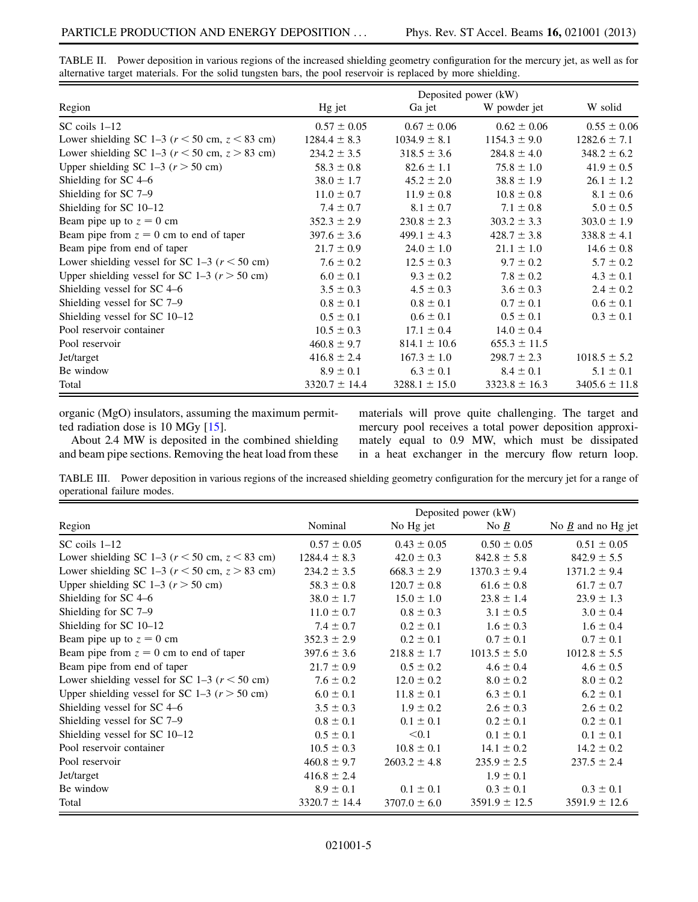|                                                    | Deposited power (kW) |                   |                   |                   |  |
|----------------------------------------------------|----------------------|-------------------|-------------------|-------------------|--|
| Region                                             | Hg jet               | Ga jet            | W powder jet      | W solid           |  |
| $SC$ coils $1-12$                                  | $0.57 \pm 0.05$      | $0.67 \pm 0.06$   | $0.62 \pm 0.06$   | $0.55 \pm 0.06$   |  |
| Lower shielding SC 1-3 ( $r <$ 50 cm, $z <$ 83 cm) | $1284.4 \pm 8.3$     | $1034.9 \pm 8.1$  | $1154.3 \pm 9.0$  | $1282.6 \pm 7.1$  |  |
| Lower shielding SC 1-3 ( $r$ < 50 cm, $z$ > 83 cm) | $234.2 \pm 3.5$      | $318.5 \pm 3.6$   | $284.8 \pm 4.0$   | $348.2 \pm 6.2$   |  |
| Upper shielding SC 1-3 ( $r > 50$ cm)              | $58.3 \pm 0.8$       | $82.6 \pm 1.1$    | $75.8 \pm 1.0$    | $41.9 \pm 0.5$    |  |
| Shielding for SC 4-6                               | $38.0 \pm 1.7$       | $45.2 \pm 2.0$    | $38.8 \pm 1.9$    | $26.1 \pm 1.2$    |  |
| Shielding for SC 7-9                               | $11.0 \pm 0.7$       | $11.9 \pm 0.8$    | $10.8 \pm 0.8$    | $8.1 \pm 0.6$     |  |
| Shielding for SC 10-12                             | $7.4 \pm 0.7$        | $8.1 \pm 0.7$     | $7.1 \pm 0.8$     | $5.0 \pm 0.5$     |  |
| Beam pipe up to $z = 0$ cm                         | $352.3 \pm 2.9$      | $230.8 \pm 2.3$   | $303.2 \pm 3.3$   | $303.0 \pm 1.9$   |  |
| Beam pipe from $z = 0$ cm to end of taper          | $397.6 \pm 3.6$      | $499.1 \pm 4.3$   | $428.7 \pm 3.8$   | $338.8 \pm 4.1$   |  |
| Beam pipe from end of taper                        | $21.7 \pm 0.9$       | $24.0 \pm 1.0$    | $21.1 \pm 1.0$    | $14.6 \pm 0.8$    |  |
| Lower shielding vessel for SC 1–3 ( $r < 50$ cm)   | $7.6 \pm 0.2$        | $12.5 \pm 0.3$    | $9.7 \pm 0.2$     | $5.7 \pm 0.2$     |  |
| Upper shielding vessel for SC 1–3 ( $r > 50$ cm)   | $6.0 \pm 0.1$        | $9.3 \pm 0.2$     | $7.8 \pm 0.2$     | $4.3 \pm 0.1$     |  |
| Shielding vessel for SC 4-6                        | $3.5 \pm 0.3$        | $4.5 \pm 0.3$     | $3.6 \pm 0.3$     | $2.4 \pm 0.2$     |  |
| Shielding vessel for SC 7-9                        | $0.8 \pm 0.1$        | $0.8 \pm 0.1$     | $0.7 \pm 0.1$     | $0.6 \pm 0.1$     |  |
| Shielding vessel for SC 10-12                      | $0.5 \pm 0.1$        | $0.6 \pm 0.1$     | $0.5 \pm 0.1$     | $0.3 \pm 0.1$     |  |
| Pool reservoir container                           | $10.5 \pm 0.3$       | $17.1 \pm 0.4$    | $14.0 \pm 0.4$    |                   |  |
| Pool reservoir                                     | $460.8 \pm 9.7$      | $814.1 \pm 10.6$  | $655.3 \pm 11.5$  |                   |  |
| Jet/target                                         | $416.8 \pm 2.4$      | $167.3 \pm 1.0$   | $298.7 \pm 2.3$   | $1018.5 \pm 5.2$  |  |
| Be window                                          | $8.9 \pm 0.1$        | $6.3 \pm 0.1$     | $8.4 \pm 0.1$     | $5.1 \pm 0.1$     |  |
| Total                                              | $3320.7 \pm 14.4$    | $3288.1 \pm 15.0$ | $3323.8 \pm 16.3$ | $3405.6 \pm 11.8$ |  |

<span id="page-5-0"></span>TABLE II. Power deposition in various regions of the increased shielding geometry configuration for the mercury jet, as well as for alternative target materials. For the solid tungsten bars, the pool reservoir is replaced by more shielding.

organic (MgO) insulators, assuming the maximum permitted radiation dose is 10 MGy [\[15\]](#page-8-3).

About 2.4 MW is deposited in the combined shielding and beam pipe sections. Removing the heat load from these materials will prove quite challenging. The target and mercury pool receives a total power deposition approximately equal to 0.9 MW, which must be dissipated in a heat exchanger in the mercury flow return loop.

<span id="page-5-1"></span>TABLE III. Power deposition in various regions of the increased shielding geometry configuration for the mercury jet for a range of operational failure modes.

|                                                    | Deposited power (kW) |                  |                    |                                  |  |
|----------------------------------------------------|----------------------|------------------|--------------------|----------------------------------|--|
| Region                                             | Nominal              | No Hg jet        | No $\underline{B}$ | No $\underline{B}$ and no Hg jet |  |
| $SC$ coils $1-12$                                  | $0.57 \pm 0.05$      | $0.43 \pm 0.05$  | $0.50 \pm 0.05$    | $0.51 \pm 0.05$                  |  |
| Lower shielding SC 1-3 ( $r$ < 50 cm, $z$ < 83 cm) | $1284.4 \pm 8.3$     | $42.0 \pm 0.3$   | $842.8 \pm 5.8$    | $842.9 \pm 5.5$                  |  |
| Lower shielding SC 1-3 ( $r$ < 50 cm, $z$ > 83 cm) | $234.2 \pm 3.5$      | $668.3 \pm 2.9$  | $1370.3 \pm 9.4$   | $1371.2 \pm 9.4$                 |  |
| Upper shielding SC 1–3 ( $r > 50$ cm)              | $58.3 \pm 0.8$       | $120.7 \pm 0.8$  | $61.6 \pm 0.8$     | $61.7 \pm 0.7$                   |  |
| Shielding for SC 4-6                               | $38.0 \pm 1.7$       | $15.0 \pm 1.0$   | $23.8 \pm 1.4$     | $23.9 \pm 1.3$                   |  |
| Shielding for SC 7-9                               | $11.0 \pm 0.7$       | $0.8 \pm 0.3$    | $3.1 \pm 0.5$      | $3.0 \pm 0.4$                    |  |
| Shielding for SC 10-12                             | $7.4 \pm 0.7$        | $0.2 \pm 0.1$    | $1.6 \pm 0.3$      | $1.6 \pm 0.4$                    |  |
| Beam pipe up to $z = 0$ cm                         | $352.3 \pm 2.9$      | $0.2 \pm 0.1$    | $0.7 \pm 0.1$      | $0.7 \pm 0.1$                    |  |
| Beam pipe from $z = 0$ cm to end of taper          | $397.6 \pm 3.6$      | $218.8 \pm 1.7$  | $1013.5 \pm 5.0$   | $1012.8 \pm 5.5$                 |  |
| Beam pipe from end of taper                        | $21.7 \pm 0.9$       | $0.5 \pm 0.2$    | $4.6 \pm 0.4$      | $4.6 \pm 0.5$                    |  |
| Lower shielding vessel for SC 1–3 ( $r$ < 50 cm)   | $7.6 \pm 0.2$        | $12.0 \pm 0.2$   | $8.0 \pm 0.2$      | $8.0 \pm 0.2$                    |  |
| Upper shielding vessel for SC 1–3 ( $r > 50$ cm)   | $6.0 \pm 0.1$        | $11.8 \pm 0.1$   | $6.3 \pm 0.1$      | $6.2 \pm 0.1$                    |  |
| Shielding vessel for SC 4–6                        | $3.5 \pm 0.3$        | $1.9 \pm 0.2$    | $2.6 \pm 0.3$      | $2.6 \pm 0.2$                    |  |
| Shielding vessel for SC 7-9                        | $0.8 \pm 0.1$        | $0.1 \pm 0.1$    | $0.2 \pm 0.1$      | $0.2 \pm 0.1$                    |  |
| Shielding vessel for SC 10-12                      | $0.5 \pm 0.1$        | < 0.1            | $0.1 \pm 0.1$      | $0.1 \pm 0.1$                    |  |
| Pool reservoir container                           | $10.5 \pm 0.3$       | $10.8 \pm 0.1$   | $14.1 \pm 0.2$     | $14.2 \pm 0.2$                   |  |
| Pool reservoir                                     | $460.8 \pm 9.7$      | $2603.2 \pm 4.8$ | $235.9 \pm 2.5$    | $237.5 \pm 2.4$                  |  |
| Jet/target                                         | $416.8 \pm 2.4$      |                  | $1.9 \pm 0.1$      |                                  |  |
| Be window                                          | $8.9 \pm 0.1$        | $0.1 \pm 0.1$    | $0.3 \pm 0.1$      | $0.3 \pm 0.1$                    |  |
| Total                                              | $3320.7 \pm 14.4$    | $3707.0 \pm 6.0$ | $3591.9 \pm 12.5$  | $3591.9 \pm 12.6$                |  |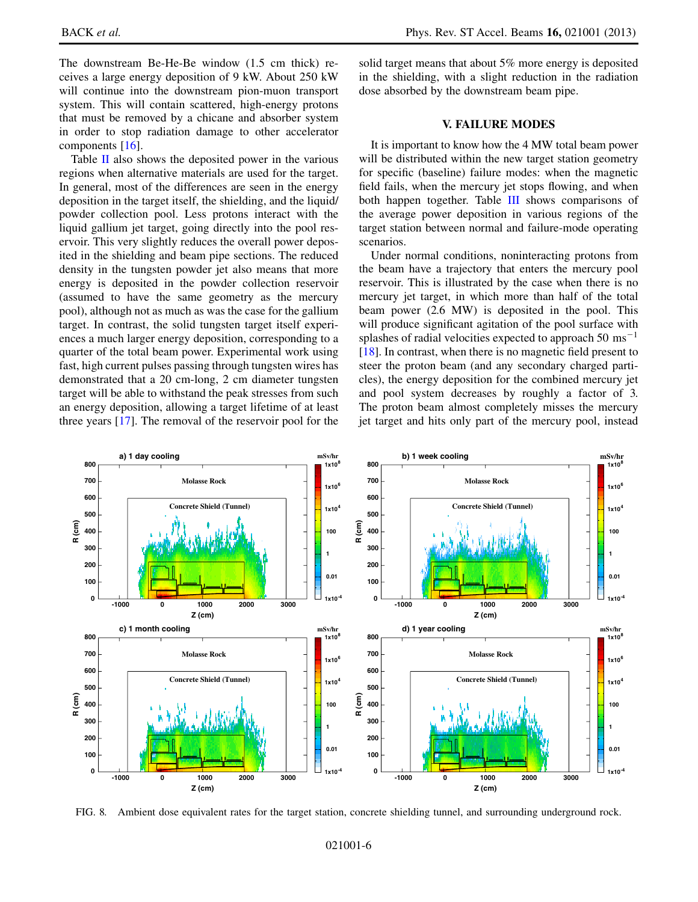The downstream Be-He-Be window (1.5 cm thick) receives a large energy deposition of 9 kW. About 250 kW will continue into the downstream pion-muon transport system. This will contain scattered, high-energy protons that must be removed by a chicane and absorber system in order to stop radiation damage to other accelerator components [\[16\]](#page-8-4).

Table [II](#page-5-0) also shows the deposited power in the various regions when alternative materials are used for the target. In general, most of the differences are seen in the energy deposition in the target itself, the shielding, and the liquid/ powder collection pool. Less protons interact with the liquid gallium jet target, going directly into the pool reservoir. This very slightly reduces the overall power deposited in the shielding and beam pipe sections. The reduced density in the tungsten powder jet also means that more energy is deposited in the powder collection reservoir (assumed to have the same geometry as the mercury pool), although not as much as was the case for the gallium target. In contrast, the solid tungsten target itself experiences a much larger energy deposition, corresponding to a quarter of the total beam power. Experimental work using fast, high current pulses passing through tungsten wires has demonstrated that a 20 cm-long, 2 cm diameter tungsten target will be able to withstand the peak stresses from such an energy deposition, allowing a target lifetime of at least three years [\[17\]](#page-8-5). The removal of the reservoir pool for the solid target means that about 5% more energy is deposited in the shielding, with a slight reduction in the radiation dose absorbed by the downstream beam pipe.

## V. FAILURE MODES

It is important to know how the 4 MW total beam power will be distributed within the new target station geometry for specific (baseline) failure modes: when the magnetic field fails, when the mercury jet stops flowing, and when both happen together. Table [III](#page-5-1) shows comparisons of the average power deposition in various regions of the target station between normal and failure-mode operating scenarios.

Under normal conditions, noninteracting protons from the beam have a trajectory that enters the mercury pool reservoir. This is illustrated by the case when there is no mercury jet target, in which more than half of the total beam power (2.6 MW) is deposited in the pool. This will produce significant agitation of the pool surface with splashes of radial velocities expected to approach  $50 \text{ ms}^{-1}$ [\[18\]](#page-8-6). In contrast, when there is no magnetic field present to steer the proton beam (and any secondary charged particles), the energy deposition for the combined mercury jet and pool system decreases by roughly a factor of 3. The proton beam almost completely misses the mercury jet target and hits only part of the mercury pool, instead

<span id="page-6-0"></span>

FIG. 8. Ambient dose equivalent rates for the target station, concrete shielding tunnel, and surrounding underground rock.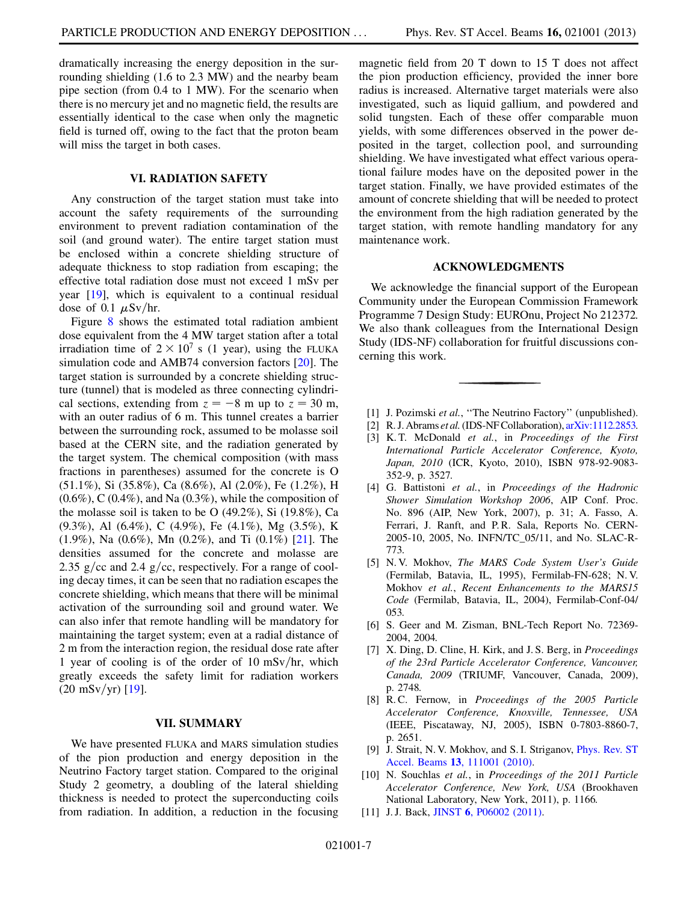dramatically increasing the energy deposition in the surrounding shielding (1.6 to 2.3 MW) and the nearby beam pipe section (from 0.4 to 1 MW). For the scenario when there is no mercury jet and no magnetic field, the results are essentially identical to the case when only the magnetic field is turned off, owing to the fact that the proton beam will miss the target in both cases.

### VI. RADIATION SAFETY

Any construction of the target station must take into account the safety requirements of the surrounding environment to prevent radiation contamination of the soil (and ground water). The entire target station must be enclosed within a concrete shielding structure of adequate thickness to stop radiation from escaping; the effective total radiation dose must not exceed 1 mSv per year [\[19\]](#page-8-7), which is equivalent to a continual residual dose of 0.1  $\mu$ Sv/hr.

Figure [8](#page-6-0) shows the estimated total radiation ambient dose equivalent from the 4 MW target station after a total irradiation time of  $2 \times 10^7$  s (1 year), using the FLUKA simulation code and AMB74 conversion factors [\[20\]](#page-8-8). The target station is surrounded by a concrete shielding structure (tunnel) that is modeled as three connecting cylindrical sections, extending from  $z = -8$  m up to  $z = 30$  m, with an outer radius of 6 m. This tunnel creates a barrier between the surrounding rock, assumed to be molasse soil based at the CERN site, and the radiation generated by the target system. The chemical composition (with mass fractions in parentheses) assumed for the concrete is O (51.1%), Si (35.8%), Ca (8.6%), Al (2.0%), Fe (1.2%), H  $(0.6\%)$ , C  $(0.4\%)$ , and Na  $(0.3\%)$ , while the composition of the molasse soil is taken to be O  $(49.2\%)$ , Si  $(19.8\%)$ , Ca (9.3%), Al (6.4%), C (4.9%), Fe (4.1%), Mg (3.5%), K (1.9%), Na (0.6%), Mn (0.2%), and Ti (0.1%) [\[21\]](#page-8-9). The densities assumed for the concrete and molasse are 2.35 g/cc and 2.4 g/cc, respectively. For a range of cooling decay times, it can be seen that no radiation escapes the concrete shielding, which means that there will be minimal activation of the surrounding soil and ground water. We can also infer that remote handling will be mandatory for maintaining the target system; even at a radial distance of 2 m from the interaction region, the residual dose rate after 1 year of cooling is of the order of 10 mSv/hr, which greatly exceeds the safety limit for radiation workers  $(20 \text{ mSv/yr})$  [\[19\]](#page-8-7).

### VII. SUMMARY

We have presented FLUKA and MARS simulation studies of the pion production and energy deposition in the Neutrino Factory target station. Compared to the original Study 2 geometry, a doubling of the lateral shielding thickness is needed to protect the superconducting coils from radiation. In addition, a reduction in the focusing magnetic field from 20 T down to 15 T does not affect the pion production efficiency, provided the inner bore radius is increased. Alternative target materials were also investigated, such as liquid gallium, and powdered and solid tungsten. Each of these offer comparable muon yields, with some differences observed in the power deposited in the target, collection pool, and surrounding shielding. We have investigated what effect various operational failure modes have on the deposited power in the target station. Finally, we have provided estimates of the amount of concrete shielding that will be needed to protect the environment from the high radiation generated by the target station, with remote handling mandatory for any maintenance work.

#### ACKNOWLEDGMENTS

We acknowledge the financial support of the European Community under the European Commission Framework Programme 7 Design Study: EUROnu, Project No 212372. We also thank colleagues from the International Design Study (IDS-NF) collaboration for fruitful discussions concerning this work.

- <span id="page-7-1"></span><span id="page-7-0"></span>[1] J. Pozimski et al., "The Neutrino Factory" (unpublished).
- <span id="page-7-2"></span>[2] R. J. Abrams et al. (IDS-NF Collaboration), [arXiv:1112.2853.](http://arXiv.org/abs/1112.2853)
- [3] K.T. McDonald et al., in Proceedings of the First International Particle Accelerator Conference, Kyoto, Japan, 2010 (ICR, Kyoto, 2010), ISBN 978-92-9083- 352-9, p. 3527.
- <span id="page-7-3"></span>[4] G. Battistoni et al., in Proceedings of the Hadronic Shower Simulation Workshop 2006, AIP Conf. Proc. No. 896 (AIP, New York, 2007), p. 31; A. Fasso, A. Ferrari, J. Ranft, and P. R. Sala, Reports No. CERN-2005-10, 2005, No. INFN/TC\_05/11, and No. SLAC-R-773.
- <span id="page-7-4"></span>[5] N. V. Mokhov, The MARS Code System User's Guide (Fermilab, Batavia, IL, 1995), Fermilab-FN-628; N. V. Mokhov et al., Recent Enhancements to the MARS15 Code (Fermilab, Batavia, IL, 2004), Fermilab-Conf-04/ 053.
- <span id="page-7-5"></span>[6] S. Geer and M. Zisman, BNL-Tech Report No. 72369- 2004, 2004.
- <span id="page-7-6"></span>[7] X. Ding, D. Cline, H. Kirk, and J. S. Berg, in Proceedings of the 23rd Particle Accelerator Conference, Vancouver, Canada, 2009 (TRIUMF, Vancouver, Canada, 2009), p. 2748.
- <span id="page-7-7"></span>[8] R.C. Fernow, in Proceedings of the 2005 Particle Accelerator Conference, Knoxville, Tennessee, USA (IEEE, Piscataway, NJ, 2005), ISBN 0-7803-8860-7, p. 2651.
- <span id="page-7-8"></span>[9] J. Strait, N. V. Mokhov, and S. I. Striganov, [Phys. Rev. ST](http://dx.doi.org/10.1103/PhysRevSTAB.13.111001) Accel. Beams 13[, 111001 \(2010\).](http://dx.doi.org/10.1103/PhysRevSTAB.13.111001)
- <span id="page-7-9"></span>[10] N. Souchlas et al., in Proceedings of the 2011 Particle Accelerator Conference, New York, USA (Brookhaven National Laboratory, New York, 2011), p. 1166.
- <span id="page-7-10"></span>[11] J. J. Back, JINST 6[, P06002 \(2011\)](http://dx.doi.org/10.1088/1748-0221/6/06/P06002).